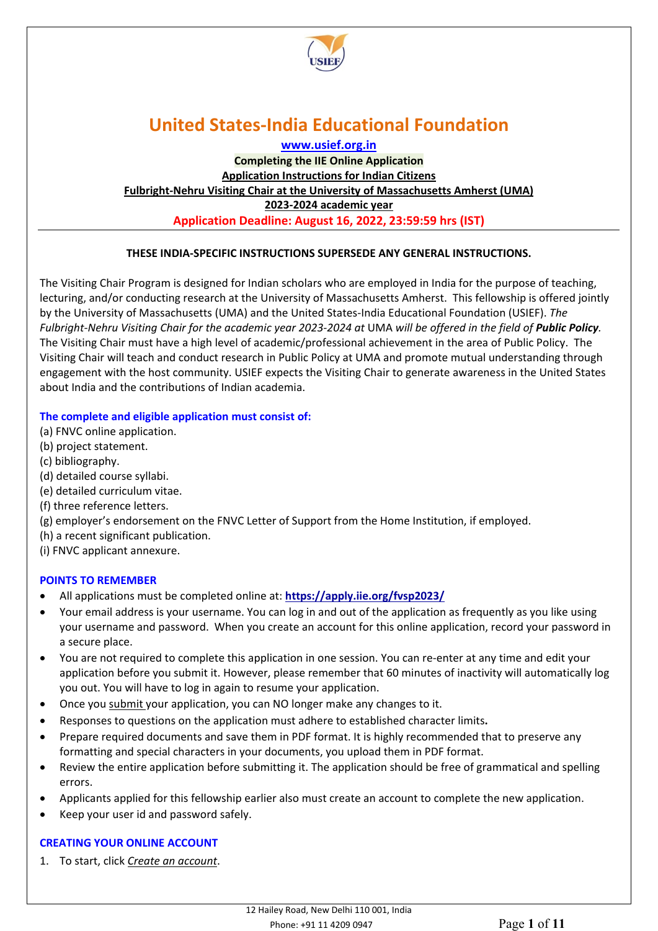

**[www.usief.org.in](http://www.usief.org.in/)**

**Completing the IIE Online Application Application Instructions for Indian Citizens Fulbright-Nehru Visiting Chair at the University of Massachusetts Amherst (UMA) 2023-2024 academic year Application Deadline: August 16, 2022, 23:59:59 hrs (IST)**

## **THESE INDIA-SPECIFIC INSTRUCTIONS SUPERSEDE ANY GENERAL INSTRUCTIONS.**

The Visiting Chair Program is designed for Indian scholars who are employed in India for the purpose of teaching, lecturing, and/or conducting research at the University of Massachusetts Amherst. This fellowship is offered jointly by the University of Massachusetts (UMA) and the United States-India Educational Foundation (USIEF). *The Fulbright-Nehru Visiting Chair for the academic year 2023-2024 at* UMA *will be offered in the field of Public Policy.*  The Visiting Chair must have a high level of academic/professional achievement in the area of Public Policy. The Visiting Chair will teach and conduct research in Public Policy at UMA and promote mutual understanding through engagement with the host community. USIEF expects the Visiting Chair to generate awareness in the United States about India and the contributions of Indian academia.

### **The complete and eligible application must consist of:**

- (a) FNVC online application.
- (b) project statement.
- (c) bibliography.
- (d) detailed course syllabi.
- (e) detailed curriculum vitae.
- (f) three reference letters.
- (g) employer's endorsement on the FNVC Letter of Support from the Home Institution, if employed.
- (h) a recent significant publication.
- (i) FNVC applicant annexure.

### **POINTS TO REMEMBER**

- All applications must be completed online at: **<https://apply.iie.org/fvsp2023/>**
- Your email address is your username. You can log in and out of the application as frequently as you like using your username and password. When you create an account for this online application, record your password in a secure place.
- You are not required to complete this application in one session. You can re-enter at any time and edit your application before you submit it. However, please remember that 60 minutes of inactivity will automatically log you out. You will have to log in again to resume your application.
- Once you submit your application, you can NO longer make any changes to it.
- Responses to questions on the application must adhere to established character limits**.**
- Prepare required documents and save them in PDF format. It is highly recommended that to preserve any formatting and special characters in your documents, you upload them in PDF format.
- Review the entire application before submitting it. The application should be free of grammatical and spelling errors.
- Applicants applied for this fellowship earlier also must create an account to complete the new application.
- Keep your user id and password safely.

## **CREATING YOUR ONLINE ACCOUNT**

1. To start, click *Create an account*.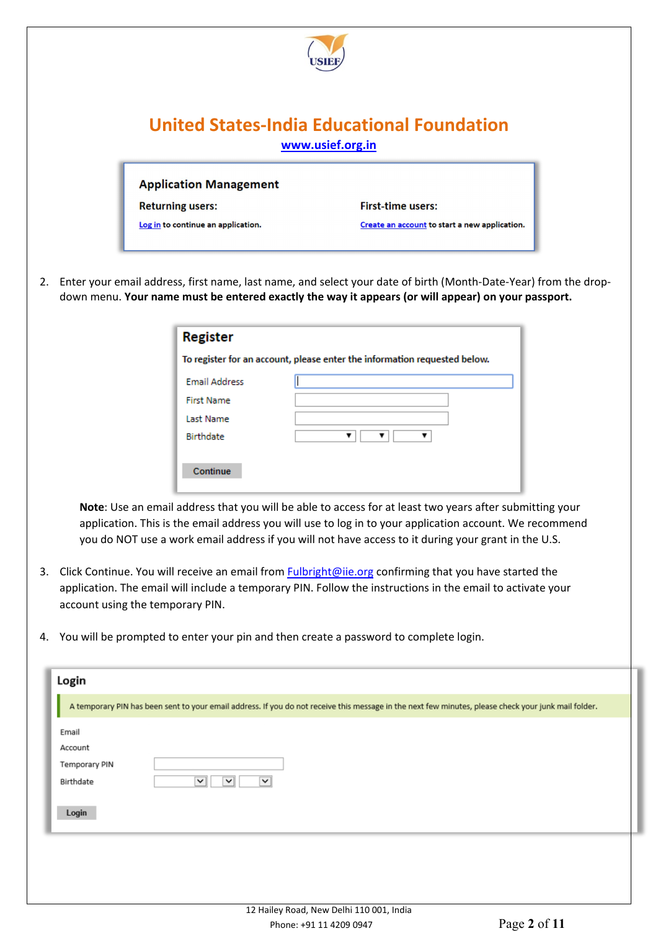

**Application Management** 

**Returning users:** 

Log in to continue an application.

**First-time users:** 

Create an account to start a new application.

2. Enter your email address, first name, last name, and select your date of birth (Month-Date-Year) from the dropdown menu. **Your name must be entered exactly the way it appears (or will appear) on your passport.** 

| <b>Register</b><br>To register for an account, please enter the information requested below. |  |  |  |  |
|----------------------------------------------------------------------------------------------|--|--|--|--|
|                                                                                              |  |  |  |  |
| <b>First Name</b>                                                                            |  |  |  |  |
| <b>Last Name</b>                                                                             |  |  |  |  |
| <b>Birthdate</b>                                                                             |  |  |  |  |
| Continue                                                                                     |  |  |  |  |

**Note**: Use an email address that you will be able to access for at least two years after submitting your application. This is the email address you will use to log in to your application account. We recommend you do NOT use a work email address if you will not have access to it during your grant in the U.S.

- 3. Click Continue. You will receive an email from [Fulbright@iie.org](mailto:Fulbright@iie.org) confirming that you have started the application. The email will include a temporary PIN. Follow the instructions in the email to activate your account using the temporary PIN.
- 4. You will be prompted to enter your pin and then create a password to complete login.

| Login                |                                                                                                                                                      |
|----------------------|------------------------------------------------------------------------------------------------------------------------------------------------------|
|                      | A temporary PIN has been sent to your email address. If you do not receive this message in the next few minutes, please check your junk mail folder. |
| Email                |                                                                                                                                                      |
| Account              |                                                                                                                                                      |
| <b>Temporary PIN</b> |                                                                                                                                                      |
| Birthdate            | $\check{~}$<br>$\checkmark$<br>$\checkmark$                                                                                                          |
| Login                |                                                                                                                                                      |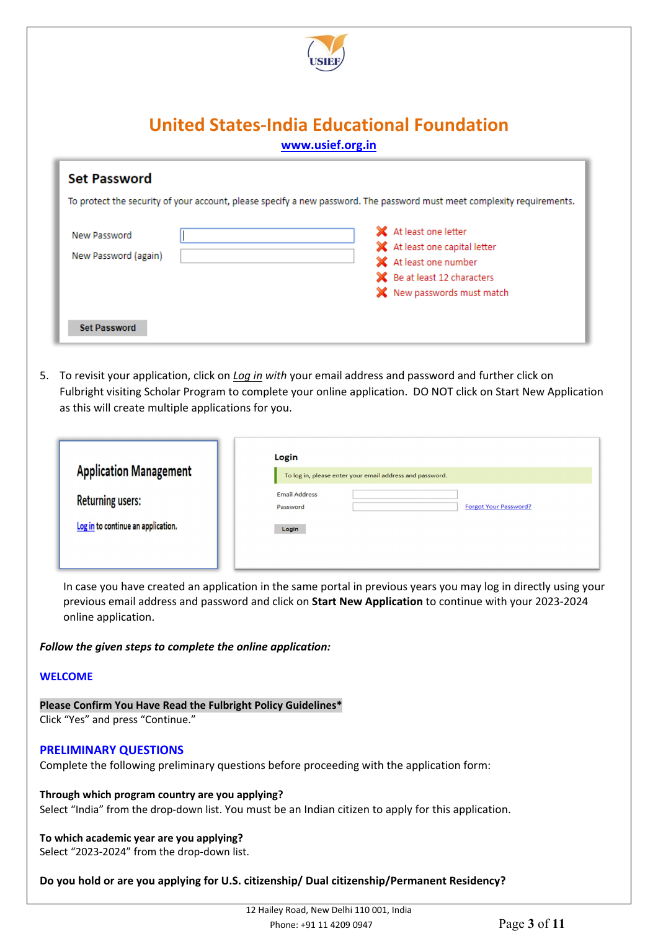

| <b>Set Password</b><br>To protect the security of your account, please specify a new password. The password must meet complexity requirements. |                                                                                                                                               |  |  |  |
|------------------------------------------------------------------------------------------------------------------------------------------------|-----------------------------------------------------------------------------------------------------------------------------------------------|--|--|--|
| New Password<br>New Password (again)                                                                                                           | X At least one letter<br>X At least one capital letter<br>X At least one number<br>SC Be at least 12 characters<br>X New passwords must match |  |  |  |
| <b>Set Password</b>                                                                                                                            |                                                                                                                                               |  |  |  |

5. To revisit your application, click on *Log in with* your email address and password and further click on Fulbright visiting Scholar Program to complete your online application. DO NOT click on Start New Application as this will create multiple applications for you.

| <b>Application Management</b>      | Login<br>To log in, please enter your email address and password. |
|------------------------------------|-------------------------------------------------------------------|
| <b>Returning users:</b>            | <b>Email Address</b><br><b>Forgot Your Password?</b><br>Password  |
| Log in to continue an application. | Login                                                             |

In case you have created an application in the same portal in previous years you may log in directly using your previous email address and password and click on **Start New Application** to continue with your 2023-2024 online application.

### *Follow the given steps to complete the online application:*

#### **WELCOME**

**Please Confirm You Have Read the Fulbright Policy Guidelines\*** Click "Yes" and press "Continue."

### **PRELIMINARY QUESTIONS**

Complete the following preliminary questions before proceeding with the application form:

**Through which program country are you applying?** Select "India" from the drop-down list. You must be an Indian citizen to apply for this application.

**To which academic year are you applying?** Select "2023-2024" from the drop-down list.

### **Do you hold or are you applying for U.S. citizenship/ Dual citizenship/Permanent Residency?**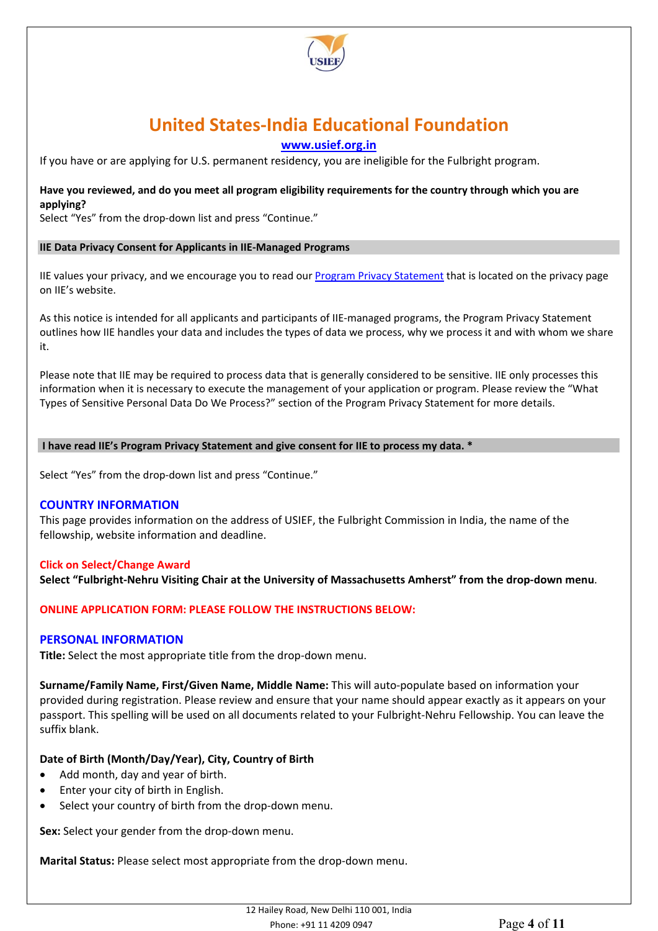

**[www.usief.org.in](http://www.usief.org.in/)**

If you have or are applying for U.S. permanent residency, you are ineligible for the Fulbright program.

### **Have you reviewed, and do you meet all program eligibility requirements for the country through which you are applying?**

Select "Yes" from the drop-down list and press "Continue."

### **IIE Data Privacy Consent for Applicants in IIE-Managed Programs**

IIE values your privacy, and we encourage you to read our [Program Privacy Statement](http://www.iie.org/Learn/Privacy/IIE-Program-Privacy-Statement) that is located on the privacy page on IIE's website.

As this notice is intended for all applicants and participants of IIE-managed programs, the Program Privacy Statement outlines how IIE handles your data and includes the types of data we process, why we process it and with whom we share it.

Please note that IIE may be required to process data that is generally considered to be sensitive. IIE only processes this information when it is necessary to execute the management of your application or program. Please review the "What Types of Sensitive Personal Data Do We Process?" section of the Program Privacy Statement for more details.

### **I have read IIE's Program Privacy Statement and give consent for IIE to process my data. \***

Select "Yes" from the drop-down list and press "Continue."

### **COUNTRY INFORMATION**

This page provides information on the address of USIEF, the Fulbright Commission in India, the name of the fellowship, website information and deadline.

### **Click on Select/Change Award**

**Select "Fulbright-Nehru Visiting Chair at the University of Massachusetts Amherst" from the drop-down menu**.

### **ONLINE APPLICATION FORM: PLEASE FOLLOW THE INSTRUCTIONS BELOW:**

### **PERSONAL INFORMATION**

**Title:** Select the most appropriate title from the drop-down menu.

**Surname/Family Name, First/Given Name, Middle Name:** This will auto-populate based on information your provided during registration. Please review and ensure that your name should appear exactly as it appears on your passport. This spelling will be used on all documents related to your Fulbright-Nehru Fellowship. You can leave the suffix blank.

### **Date of Birth (Month/Day/Year), City, Country of Birth**

- Add month, day and year of birth.
- Enter your city of birth in English.
- Select your country of birth from the drop-down menu.

**Sex:** Select your gender from the drop-down menu.

**Marital Status:** Please select most appropriate from the drop-down menu.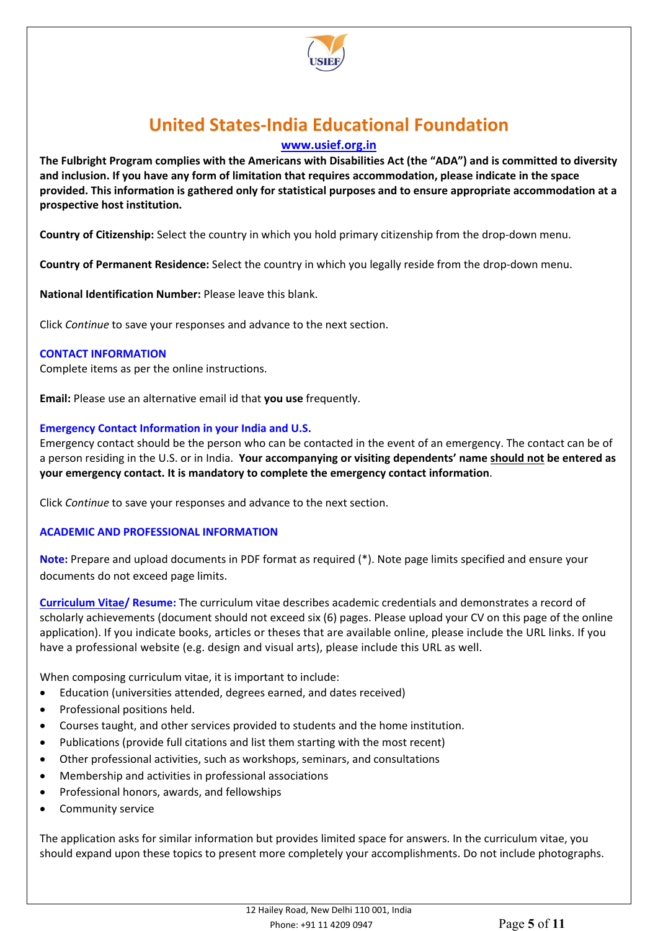

**[www.usief.org.in](http://www.usief.org.in/)**

**The Fulbright Program complies with the Americans with Disabilities Act (the "ADA") and is committed to diversity and inclusion. If you have any form of limitation that requires accommodation, please indicate in the space provided. This information is gathered only for statistical purposes and to ensure appropriate accommodation at a prospective host institution.**

**Country of Citizenship:** Select the country in which you hold primary citizenship from the drop-down menu.

**Country of Permanent Residence:** Select the country in which you legally reside from the drop-down menu.

**National Identification Number:** Please leave this blank.

Click *Continue* to save your responses and advance to the next section.

### **CONTACT INFORMATION**

Complete items as per the online instructions.

**Email:** Please use an alternative email id that **you use** frequently.

### **Emergency Contact Information in your India and U.S.**

Emergency contact should be the person who can be contacted in the event of an emergency. The contact can be of a person residing in the U.S. or in India. **Your accompanying or visiting dependents' name should not be entered as your emergency contact. It is mandatory to complete the emergency contact information**.

Click *Continue* to save your responses and advance to the next section.

### **ACADEMIC AND PROFESSIONAL INFORMATION**

**Note:** Prepare and upload documents in PDF format as required (\*). Note page limits specified and ensure your documents do not exceed page limits.

**Curriculum Vitae/ Resume:** The curriculum vitae describes academic credentials and demonstrates a record of scholarly achievements (document should not exceed six (6) pages. Please upload your CV on this page of the online application). If you indicate books, articles or theses that are available online, please include the URL links. If you have a professional website (e.g. design and visual arts), please include this URL as well.

When composing curriculum vitae, it is important to include:

- Education (universities attended, degrees earned, and dates received)
- Professional positions held.
- Courses taught, and other services provided to students and the home institution.
- Publications (provide full citations and list them starting with the most recent)
- Other professional activities, such as workshops, seminars, and consultations
- Membership and activities in professional associations
- Professional honors, awards, and fellowships
- Community service

The application asks for similar information but provides limited space for answers. In the curriculum vitae, you should expand upon these topics to present more completely your accomplishments. Do not include photographs.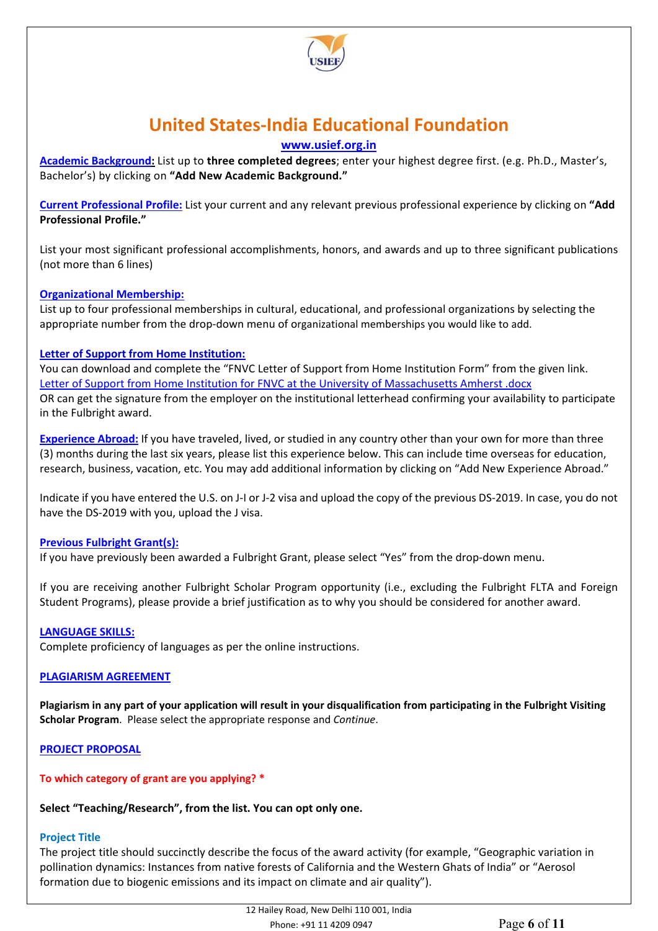

## **[www.usief.org.in](http://www.usief.org.in/)**

**Academic Background:** List up to **three completed degrees**; enter your highest degree first. (e.g. Ph.D., Master's, Bachelor's) by clicking on **"Add New Academic Background."**

**Current Professional Profile:** List your current and any relevant previous professional experience by clicking on **"Add Professional Profile."** 

List your most significant professional accomplishments, honors, and awards and up to three significant publications (not more than 6 lines)

## **Organizational Membership:**

List up to four professional memberships in cultural, educational, and professional organizations by selecting the appropriate number from the drop-down menu of organizational memberships you would like to add.

### **Letter of Support from Home Institution:**

You can download and complete the "FNVC Letter of Support from Home Institution Form" from the given link. [Letter of Support from Home Institution for FNVC at the University of Massachusetts Amherst .docx](https://www.usief.org.in/uploadip/ip2022-23/FNVC_Letter_of_Support_from_Home_Institution.docx) OR can get the signature from the employer on the institutional letterhead confirming your availability to participate in the Fulbright award.

**Experience Abroad:** If you have traveled, lived, or studied in any country other than your own for more than three (3) months during the last six years, please list this experience below. This can include time overseas for education, research, business, vacation, etc. You may add additional information by clicking on "Add New Experience Abroad."

Indicate if you have entered the U.S. on J-I or J-2 visa and upload the copy of the previous DS-2019. In case, you do not have the DS-2019 with you, upload the J visa.

### **Previous Fulbright Grant(s):**

If you have previously been awarded a Fulbright Grant, please select "Yes" from the drop-down menu.

If you are receiving another Fulbright Scholar Program opportunity (i.e., excluding the Fulbright FLTA and Foreign Student Programs), please provide a brief justification as to why you should be considered for another award.

### **LANGUAGE SKILLS:**

Complete proficiency of languages as per the online instructions.

### **PLAGIARISM AGREEMENT**

**Plagiarism in any part of your application will result in your disqualification from participating in the Fulbright Visiting Scholar Program**. Please select the appropriate response and *Continue*.

### **PROJECT PROPOSAL**

### **To which category of grant are you applying? \***

### **Select "Teaching/Research", from the list. You can opt only one.**

### **Project Title**

The project title should succinctly describe the focus of the award activity (for example, "Geographic variation in pollination dynamics: Instances from native forests of California and the Western Ghats of India" or "Aerosol formation due to biogenic emissions and its impact on climate and air quality").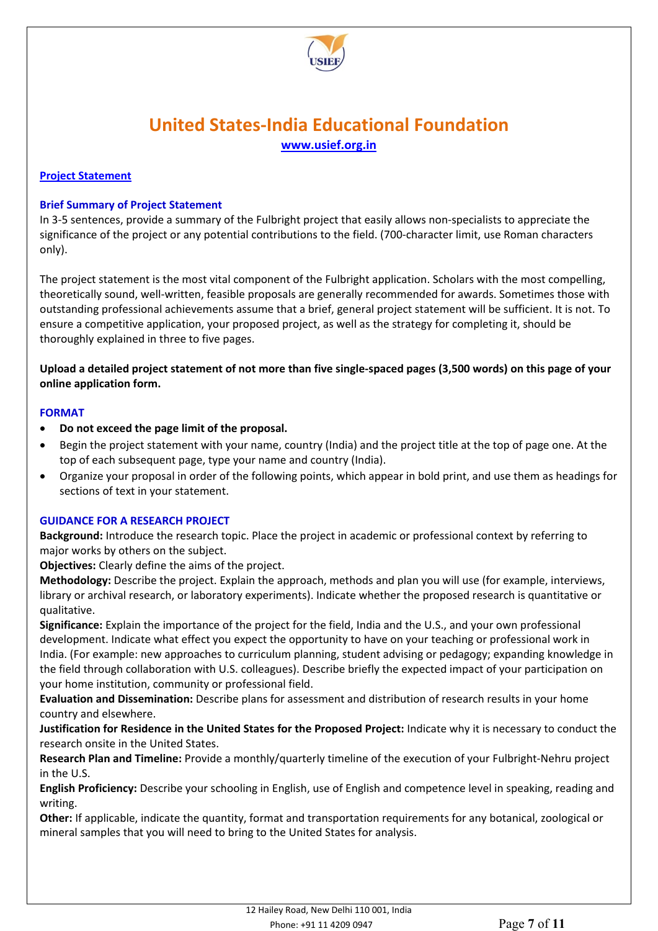

### **Project Statement**

### **Brief Summary of Project Statement**

In 3-5 sentences, provide a summary of the Fulbright project that easily allows non-specialists to appreciate the significance of the project or any potential contributions to the field. (700-character limit, use Roman characters only).

The project statement is the most vital component of the Fulbright application. Scholars with the most compelling, theoretically sound, well-written, feasible proposals are generally recommended for awards. Sometimes those with outstanding professional achievements assume that a brief, general project statement will be sufficient. It is not. To ensure a competitive application, your proposed project, as well as the strategy for completing it, should be thoroughly explained in three to five pages.

**Upload a detailed project statement of not more than five single-spaced pages (3,500 words) on this page of your online application form.** 

### **FORMAT**

- **Do not exceed the page limit of the proposal.**
- Begin the project statement with your name, country (India) and the project title at the top of page one. At the top of each subsequent page, type your name and country (India).
- Organize your proposal in order of the following points, which appear in bold print, and use them as headings for sections of text in your statement.

### **GUIDANCE FOR A RESEARCH PROJECT**

**Background:** Introduce the research topic. Place the project in academic or professional context by referring to major works by others on the subject.

**Objectives:** Clearly define the aims of the project.

**Methodology:** Describe the project. Explain the approach, methods and plan you will use (for example, interviews, library or archival research, or laboratory experiments). Indicate whether the proposed research is quantitative or qualitative.

**Significance:** Explain the importance of the project for the field, India and the U.S., and your own professional development. Indicate what effect you expect the opportunity to have on your teaching or professional work in India. (For example: new approaches to curriculum planning, student advising or pedagogy; expanding knowledge in the field through collaboration with U.S. colleagues). Describe briefly the expected impact of your participation on your home institution, community or professional field.

**Evaluation and Dissemination:** Describe plans for assessment and distribution of research results in your home country and elsewhere.

**Justification for Residence in the United States for the Proposed Project:** Indicate why it is necessary to conduct the research onsite in the United States.

**Research Plan and Timeline:** Provide a monthly/quarterly timeline of the execution of your Fulbright-Nehru project in the U.S.

**English Proficiency:** Describe your schooling in English, use of English and competence level in speaking, reading and writing.

**Other:** If applicable, indicate the quantity, format and transportation requirements for any botanical, zoological or mineral samples that you will need to bring to the United States for analysis.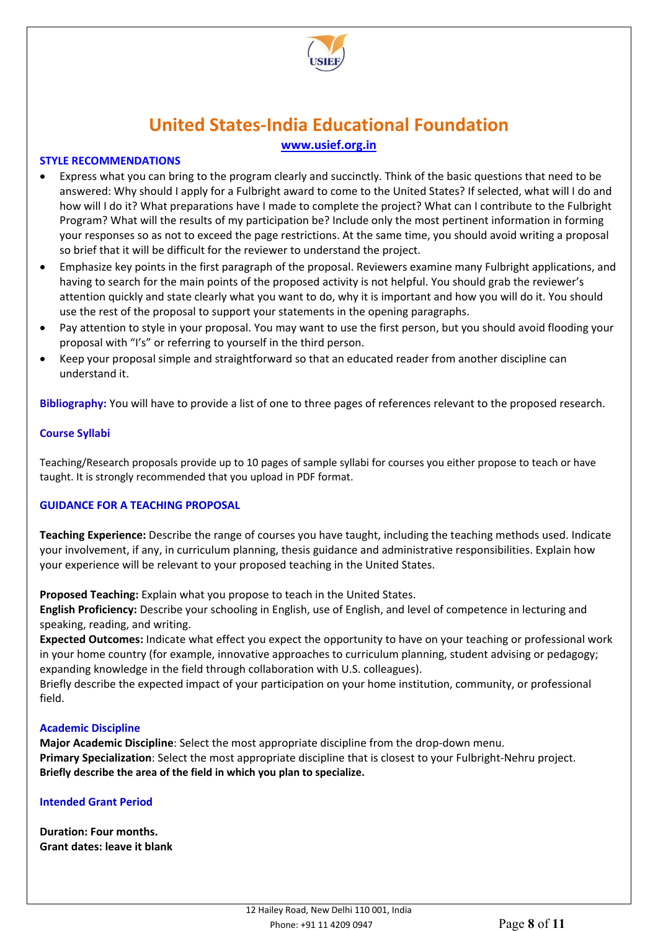

### **STYLE RECOMMENDATIONS**

- Express what you can bring to the program clearly and succinctly. Think of the basic questions that need to be answered: Why should I apply for a Fulbright award to come to the United States? If selected, what will I do and how will I do it? What preparations have I made to complete the project? What can I contribute to the Fulbright Program? What will the results of my participation be? Include only the most pertinent information in forming your responses so as not to exceed the page restrictions. At the same time, you should avoid writing a proposal so brief that it will be difficult for the reviewer to understand the project.
- Emphasize key points in the first paragraph of the proposal. Reviewers examine many Fulbright applications, and having to search for the main points of the proposed activity is not helpful. You should grab the reviewer's attention quickly and state clearly what you want to do, why it is important and how you will do it. You should use the rest of the proposal to support your statements in the opening paragraphs.
- Pay attention to style in your proposal. You may want to use the first person, but you should avoid flooding your proposal with "I's" or referring to yourself in the third person.
- Keep your proposal simple and straightforward so that an educated reader from another discipline can understand it.

**Bibliography:** You will have to provide a list of one to three pages of references relevant to the proposed research.

### **Course Syllabi**

Teaching/Research proposals provide up to 10 pages of sample syllabi for courses you either propose to teach or have taught. It is strongly recommended that you upload in PDF format.

## **GUIDANCE FOR A TEACHING PROPOSAL**

**Teaching Experience:** Describe the range of courses you have taught, including the teaching methods used. Indicate your involvement, if any, in curriculum planning, thesis guidance and administrative responsibilities. Explain how your experience will be relevant to your proposed teaching in the United States.

**Proposed Teaching:** Explain what you propose to teach in the United States.

**English Proficiency:** Describe your schooling in English, use of English, and level of competence in lecturing and speaking, reading, and writing.

**Expected Outcomes:** Indicate what effect you expect the opportunity to have on your teaching or professional work in your home country (for example, innovative approaches to curriculum planning, student advising or pedagogy; expanding knowledge in the field through collaboration with U.S. colleagues).

Briefly describe the expected impact of your participation on your home institution, community, or professional field.

### **Academic Discipline**

**Major Academic Discipline**: Select the most appropriate discipline from the drop-down menu. **Primary Specialization**: Select the most appropriate discipline that is closest to your Fulbright-Nehru project. **Briefly describe the area of the field in which you plan to specialize.**

### **Intended Grant Period**

**Duration: Four months. Grant dates: leave it blank**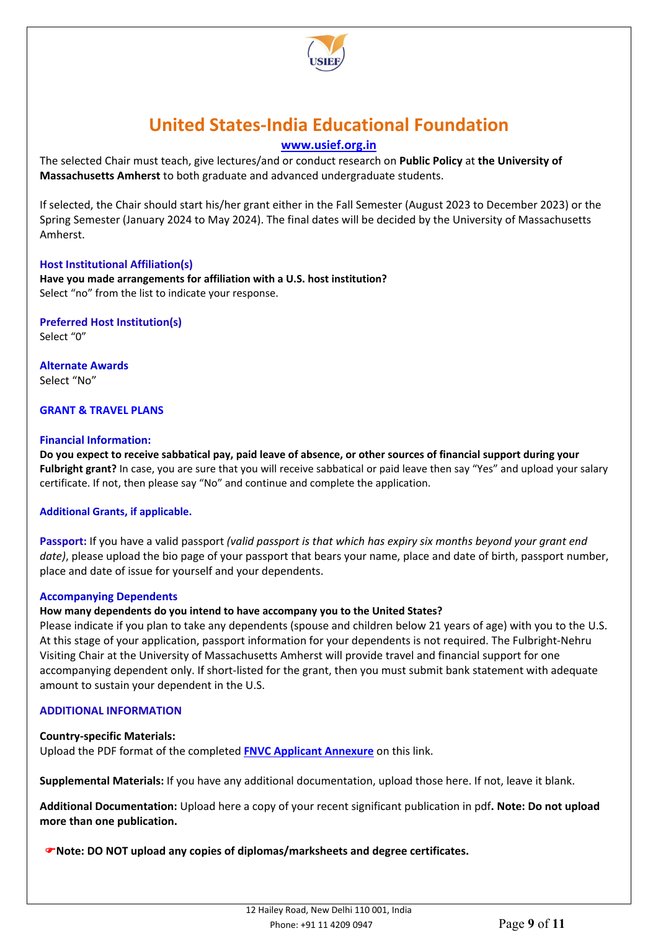

## **[www.usief.org.in](http://www.usief.org.in/)**

The selected Chair must teach, give lectures/and or conduct research on **Public Policy** at **the University of Massachusetts Amherst** to both graduate and advanced undergraduate students.

If selected, the Chair should start his/her grant either in the Fall Semester (August 2023 to December 2023) or the Spring Semester (January 2024 to May 2024). The final dates will be decided by the University of Massachusetts Amherst.

### **Host Institutional Affiliation(s)**

**Have you made arrangements for affiliation with a U.S. host institution?** Select "no" from the list to indicate your response.

**Preferred Host Institution(s)** Select "0"

**Alternate Awards** Select "No"

### **GRANT & TRAVEL PLANS**

### **Financial Information:**

**Do you expect to receive sabbatical pay, paid leave of absence, or other sources of financial support during your Fulbright grant?** In case, you are sure that you will receive sabbatical or paid leave then say "Yes" and upload your salary certificate. If not, then please say "No" and continue and complete the application.

### **Additional Grants, if applicable.**

**Passport:** If you have a valid passport *(valid passport is that which has expiry six months beyond your grant end date)*, please upload the bio page of your passport that bears your name, place and date of birth, passport number, place and date of issue for yourself and your dependents.

#### **Accompanying Dependents**

### **How many dependents do you intend to have accompany you to the United States?**

Please indicate if you plan to take any dependents (spouse and children below 21 years of age) with you to the U.S. At this stage of your application, passport information for your dependents is not required. The Fulbright-Nehru Visiting Chair at the University of Massachusetts Amherst will provide travel and financial support for one accompanying dependent only. If short-listed for the grant, then you must submit bank statement with adequate amount to sustain your dependent in the U.S.

### **ADDITIONAL INFORMATION**

#### **Country-specific Materials:**

Upload the PDF format of the completed **[FNVC Applicant Annexure](https://www.usief.org.in/uploadip/ip2023-24/FNVC_UMA_annexure.pdf)** on this link.

**Supplemental Materials:** If you have any additional documentation, upload those here. If not, leave it blank.

**Additional Documentation:** Upload here a copy of your recent significant publication in pdf**. Note: Do not upload more than one publication.**

**That I Note: DO NOT upload any copies of diplomas/marksheets and degree certificates.**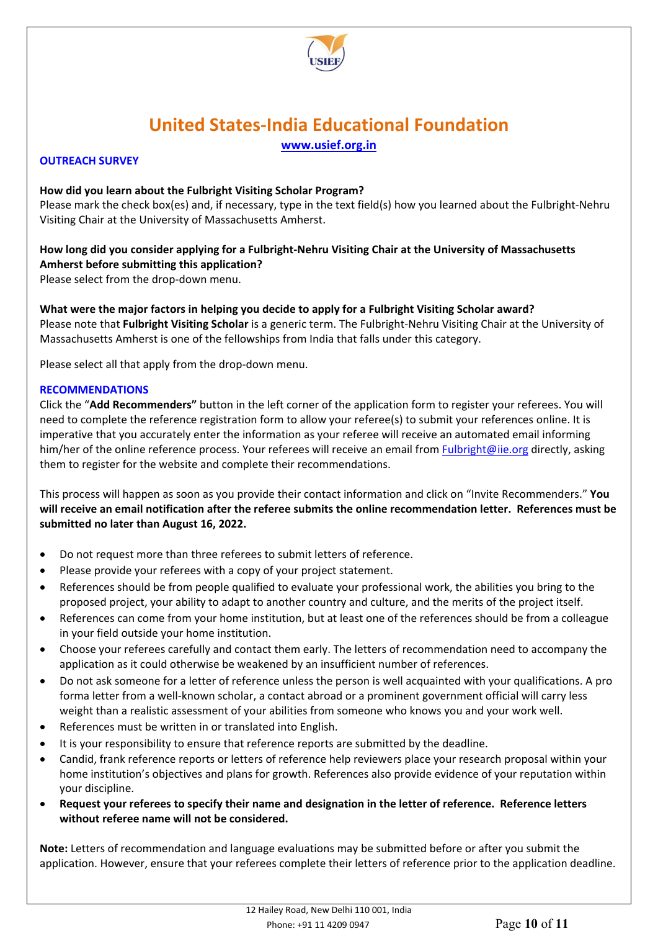

### **OUTREACH SURVEY**

### **How did you learn about the Fulbright Visiting Scholar Program?**

Please mark the check box(es) and, if necessary, type in the text field(s) how you learned about the Fulbright-Nehru Visiting Chair at the University of Massachusetts Amherst.

## **How long did you consider applying for a Fulbright-Nehru Visiting Chair at the University of Massachusetts Amherst before submitting this application?**

Please select from the drop-down menu.

**What were the major factors in helping you decide to apply for a Fulbright Visiting Scholar award?** Please note that **Fulbright Visiting Scholar** is a generic term. The Fulbright-Nehru Visiting Chair at the University of Massachusetts Amherst is one of the fellowships from India that falls under this category.

Please select all that apply from the drop-down menu.

### **RECOMMENDATIONS**

Click the "**Add Recommenders"** button in the left corner of the application form to register your referees. You will need to complete the reference registration form to allow your referee(s) to submit your references online. It is imperative that you accurately enter the information as your referee will receive an automated email informing him/her of the online reference process. Your referees will receive an email from **Fulbright@iie.org** directly, asking them to register for the website and complete their recommendations.

This process will happen as soon as you provide their contact information and click on "Invite Recommenders." **You will receive an email notification after the referee submits the online recommendation letter. References must be submitted no later than August 16, 2022.**

- Do not request more than three referees to submit letters of reference.
- Please provide your referees with a copy of your project statement.
- References should be from people qualified to evaluate your professional work, the abilities you bring to the proposed project, your ability to adapt to another country and culture, and the merits of the project itself.
- References can come from your home institution, but at least one of the references should be from a colleague in your field outside your home institution.
- Choose your referees carefully and contact them early. The letters of recommendation need to accompany the application as it could otherwise be weakened by an insufficient number of references.
- Do not ask someone for a letter of reference unless the person is well acquainted with your qualifications. A pro forma letter from a well-known scholar, a contact abroad or a prominent government official will carry less weight than a realistic assessment of your abilities from someone who knows you and your work well.
- References must be written in or translated into English.
- It is your responsibility to ensure that reference reports are submitted by the deadline.
- Candid, frank reference reports or letters of reference help reviewers place your research proposal within your home institution's objectives and plans for growth. References also provide evidence of your reputation within your discipline.
- **Request your referees to specify their name and designation in the letter of reference. Reference letters without referee name will not be considered.**

**Note:** Letters of recommendation and language evaluations may be submitted before or after you submit the application. However, ensure that your referees complete their letters of reference prior to the application deadline.